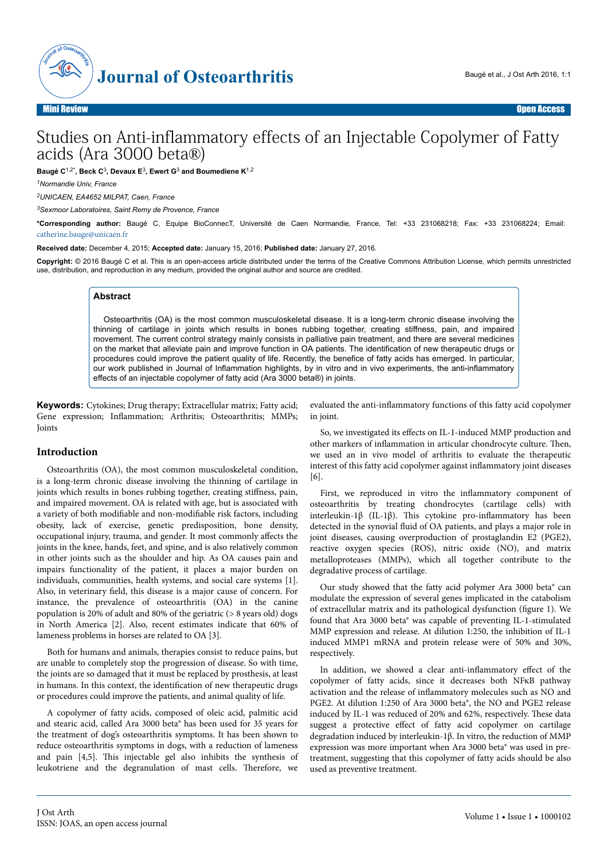

# Studies on Anti-inflammatory effects of an Injectable Copolymer of Fatty acids (Ara 3000 beta®)

**Baugé C**1,2\***, Beck C**<sup>3</sup> **, Devaux E**<sup>3</sup> **, Ewert G**<sup>3</sup>  **and Boumediene K**1,2

*<sup>1</sup>Normandie Univ, France*

*<sup>2</sup>UNICAEN, EA4652 MILPAT, Caen, France*

*<sup>3</sup>Sexmoor Laboratoires, Saint Remy de Provence, France*

**\*Corresponding author:** Baugé C, Equipe BioConnecT, Université de Caen Normandie, France, Tel: +33 231068218; Fax: +33 231068224; Email: [catherine.bauge@unicaen.fr](mailto:catherine.bauge@unicaen.fr)

**Received date:** December 4, 2015; **Accepted date:** January 15, 2016; **Published date:** January 27, 2016.

**Copyright:** © 2016 Baugé C et al. This is an open-access article distributed under the terms of the Creative Commons Attribution License, which permits unrestricted use, distribution, and reproduction in any medium, provided the original author and source are credited.

#### **Abstract**

Osteoarthritis (OA) is the most common musculoskeletal disease. It is a long-term chronic disease involving the thinning of cartilage in joints which results in bones rubbing together, creating stiffness, pain, and impaired movement. The current control strategy mainly consists in palliative pain treatment, and there are several medicines on the market that alleviate pain and improve function in OA patients. The identification of new therapeutic drugs or procedures could improve the patient quality of life. Recently, the benefice of fatty acids has emerged. In particular, our work published in Journal of Inflammation highlights, by in vitro and in vivo experiments, the anti-inflammatory effects of an injectable copolymer of fatty acid (Ara 3000 beta®) in joints.

**Keywords:** Cytokines; Drug therapy; Extracellular matrix; Fatty acid; Gene expression; Inflammation; Arthritis; Osteoarthritis; MMPs; Joints

#### **Introduction**

Osteoarthritis (OA), the most common musculoskeletal condition, is a long-term chronic disease involving the thinning of cartilage in joints which results in bones rubbing together, creating stiffness, pain, and impaired movement. OA is related with age, but is associated with a variety of both modifiable and non-modifiable risk factors, including obesity, lack of exercise, genetic predisposition, bone density, occupational injury, trauma, and gender. It most commonly affects the joints in the knee, hands, feet, and spine, and is also relatively common in other joints such as the shoulder and hip. As OA causes pain and impairs functionality of the patient, it places a major burden on individuals, communities, health systems, and social care systems [1]. Also, in veterinary field, this disease is a major cause of concern. For instance, the prevalence of osteoarthritis (OA) in the canine population is 20% of adult and 80% of the geriatric (> 8 years old) dogs in North America [2]. Also, recent estimates indicate that 60% of lameness problems in horses are related to OA [3].

Both for humans and animals, therapies consist to reduce pains, but are unable to completely stop the progression of disease. So with time, the joints are so damaged that it must be replaced by prosthesis, at least in humans. In this context, the identification of new therapeutic drugs or procedures could improve the patients, and animal quality of life.

A copolymer of fatty acids, composed of oleic acid, palmitic acid and stearic acid, called Ara 3000 beta® has been used for 35 years for the treatment of dog's osteoarthritis symptoms. It has been shown to reduce osteoarthritis symptoms in dogs, with a reduction of lameness and pain [4,5]. Нis injectable gel also inhibits the synthesis of leukotriene and the degranulation of mast cells. Нerefore, we

evaluated the anti-inflammatory functions of this fatty acid copolymer in joint.

So, we investigated its effects on IL-1-induced MMP production and other markers of inflammation in articular chondrocyte culture. Нen, we used an in vivo model of arthritis to evaluate the therapeutic interest of this fatty acid copolymer against inflammatory joint diseases [6].

First, we reproduced in vitro the inflammatory component of osteoarthritis by treating chondrocytes (cartilage cells) with interleukin-1β (IL-1β). This cytokine pro-inflammatory has been detected in the synovial fluid of OA patients, and plays a major role in joint diseases, causing overproduction of prostaglandin E2 (PGE2), reactive oxygen species (ROS), nitric oxide (NO), and matrix metalloproteases (MMPs), which all together contribute to the degradative process of cartilage.

Our study showed that the fatty acid polymer Ara 3000 beta® can modulate the expression of several genes implicated in the catabolism of extracellular matrix and its pathological dysfunction figure 1). We found that Ara 3000 beta® was capable of preventing IL-1-stimulated MMP expression and release. At dilution 1:250, the inhibition of IL-1 induced MMP1 mRNA and protein release were of 50% and 30%, respectively.

In addition, we showed a clear anti-inflammatory effect of the copolymer of fatty acids, since it decreases both NFκB pathway activation and the release of inflammatory molecules such as NO and PGE2. At dilution 1:250 of Ara 3000 beta®, the NO and PGE2 release induced by IL-1 was reduced of 20% and 62%, respectively. Нese data suggest a protective effect of fatty acid copolymer on cartilage degradation induced by interleukin-1β. In vitro, the reduction of MMP expression was more important when Ara 3000 beta® was used in pretreatment, suggesting that this copolymer of fatty acids should be also used as preventive treatment.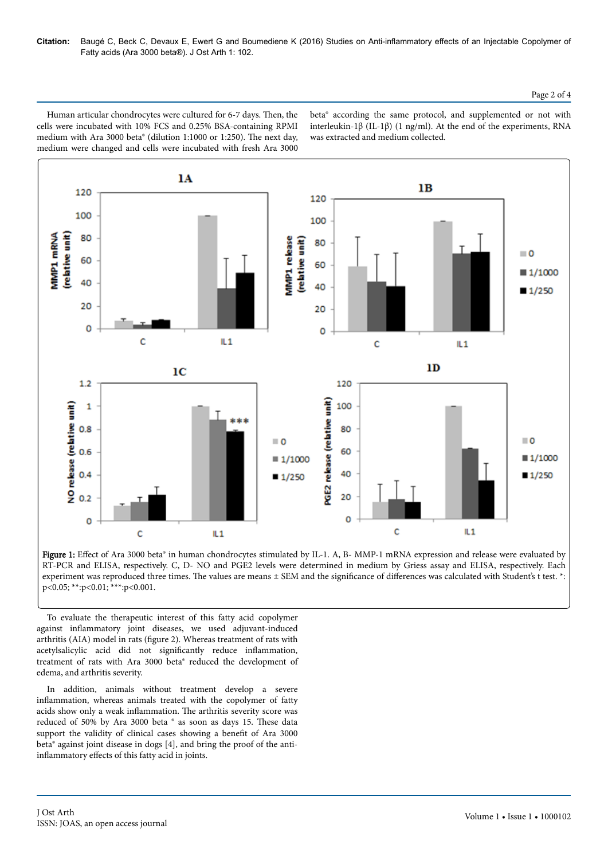Human articular chondrocytes were cultured for 6-7 days. Then, the cells were incubated with 10% FCS and 0.25% BSA-containing RPMI medium with Ara 3000 beta® (dilution 1:1000 or 1:250). Нe next day, medium were changed and cells were incubated with fresh Ara 3000

beta® according the same protocol, and supplemented or not with interleukin-1β (IL-1β) (1 ng/ml). At the end of the experiments, RNA was extracted and medium collected.



Figure 1: Effect of Ara 3000 beta® in human chondrocytes stimulated by IL-1. A, B- MMP-1 mRNA expression and release were evaluated by RT-PCR and ELISA, respectively. C, D- NO and PGE2 levels were determined in medium by Griess assay and ELISA, respectively. Each experiment was reproduced three times. The values are means  $\pm$  SEM and the significance of differences was calculated with Student's t test. \*: p<0.05; \*\*:p<0.01; \*\*\*:p<0.001.

To evaluate the therapeutic interest of this fatty acid copolymer against inflammatory joint diseases, we used adjuvant-induced arthritis (AIA) model in rats figure 2). Whereas treatment of rats with acetylsalicylic acid did not significantly reduce inflammation, treatment of rats with Ara 3000 beta® reduced the development of edema, and arthritis severity.

In addition, animals without treatment develop a severe inflammation, whereas animals treated with the copolymer of fatty acids show only a weak inflammation. Нe arthritis severity score was reduced of 50% by Ara 3000 beta ® as soon as days 15. Нese data support the validity of clinical cases showing a benefit of Ara 3000 beta® against joint disease in dogs [4], and bring the proof of the antiinflammatory effects of this fatty acid in joints.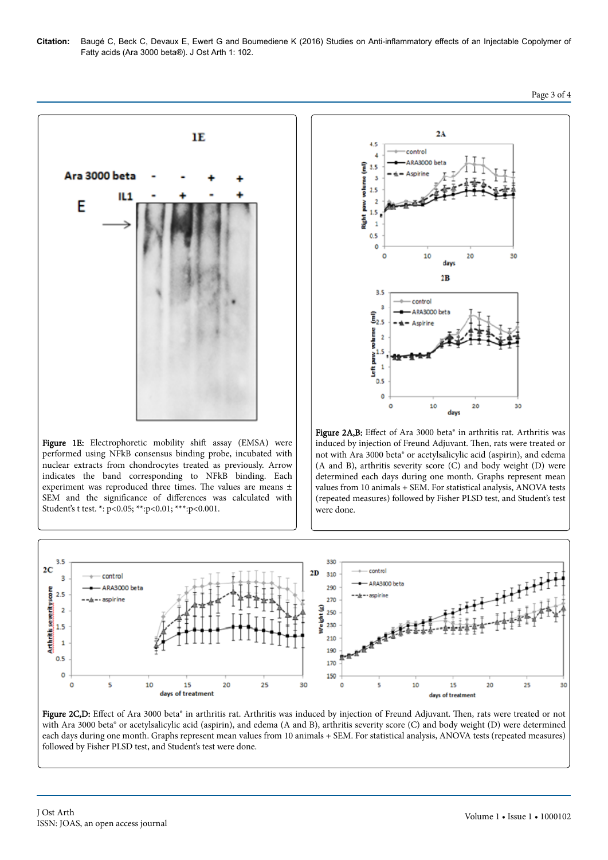

Figure 1E: Electrophoretic mobility shift assay (EMSA) were performed using NFkB consensus binding probe, incubated with nuclear extracts from chondrocytes treated as previously. Arrow indicates the band corresponding to NFkB binding. Each experiment was reproduced three times. Нe values are means ± SEM and the significance of differences was calculated with Student's t test. \*: p<0.05; \*\*:p<0.01; \*\*\*:p<0.001.



Figure 2A,B: Effect of Ara 3000 beta® in arthritis rat. Arthritis was induced by injection of Freund Adjuvant. Нen, rats were treated or not with Ara 3000 beta® or acetylsalicylic acid (aspirin), and edema (A and B), arthritis severity score (C) and body weight (D) were determined each days during one month. Graphs represent mean values from 10 animals + SEM. For statistical analysis, ANOVA tests (repeated measures) followed by Fisher PLSD test, and Student's test were done.



Figure 2C,D: Effect of Ara 3000 beta® in arthritis rat. Arthritis was induced by injection of Freund Adjuvant. Then, rats were treated or not with Ara 3000 beta<sup>®</sup> or acetylsalicylic acid (aspirin), and edema (A and B), arthritis severity score (C) and body weight (D) were determined each days during one month. Graphs represent mean values from 10 animals + SEM. For statistical analysis, ANOVA tests (repeated measures) followed by Fisher PLSD test, and Student's test were done.